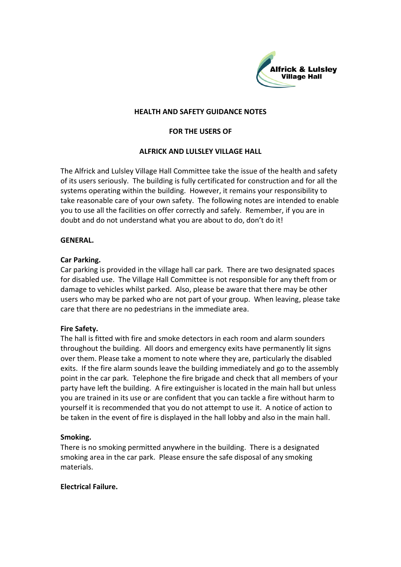

#### **HEALTH AND SAFETY GUIDANCE NOTES**

# **FOR THE USERS OF**

# **ALFRICK AND LULSLEY VILLAGE HALL**

The Alfrick and Lulsley Village Hall Committee take the issue of the health and safety of its users seriously. The building is fully certificated for construction and for all the systems operating within the building. However, it remains your responsibility to take reasonable care of your own safety. The following notes are intended to enable you to use all the facilities on offer correctly and safely. Remember, if you are in doubt and do not understand what you are about to do, don't do it!

#### **GENERAL.**

#### **Car Parking.**

Car parking is provided in the village hall car park. There are two designated spaces for disabled use. The Village Hall Committee is not responsible for any theft from or damage to vehicles whilst parked. Also, please be aware that there may be other users who may be parked who are not part of your group. When leaving, please take care that there are no pedestrians in the immediate area.

# **Fire Safety.**

The hall is fitted with fire and smoke detectors in each room and alarm sounders throughout the building. All doors and emergency exits have permanently lit signs over them. Please take a moment to note where they are, particularly the disabled exits. If the fire alarm sounds leave the building immediately and go to the assembly point in the car park. Telephone the fire brigade and check that all members of your party have left the building. A fire extinguisher is located in the main hall but unless you are trained in its use or are confident that you can tackle a fire without harm to yourself it is recommended that you do not attempt to use it. A notice of action to be taken in the event of fire is displayed in the hall lobby and also in the main hall.

# **Smoking.**

There is no smoking permitted anywhere in the building. There is a designated smoking area in the car park. Please ensure the safe disposal of any smoking materials.

# **Electrical Failure.**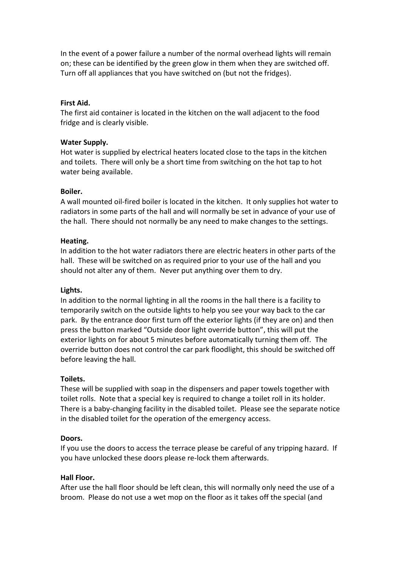In the event of a power failure a number of the normal overhead lights will remain on; these can be identified by the green glow in them when they are switched off. Turn off all appliances that you have switched on (but not the fridges).

#### **First Aid.**

The first aid container is located in the kitchen on the wall adjacent to the food fridge and is clearly visible.

#### **Water Supply.**

Hot water is supplied by electrical heaters located close to the taps in the kitchen and toilets. There will only be a short time from switching on the hot tap to hot water being available.

#### **Boiler.**

A wall mounted oil-fired boiler is located in the kitchen. It only supplies hot water to radiators in some parts of the hall and will normally be set in advance of your use of the hall. There should not normally be any need to make changes to the settings.

#### **Heating.**

In addition to the hot water radiators there are electric heaters in other parts of the hall. These will be switched on as required prior to your use of the hall and you should not alter any of them. Never put anything over them to dry.

# **Lights.**

In addition to the normal lighting in all the rooms in the hall there is a facility to temporarily switch on the outside lights to help you see your way back to the car park. By the entrance door first turn off the exterior lights (if they are on) and then press the button marked "Outside door light override button", this will put the exterior lights on for about 5 minutes before automatically turning them off. The override button does not control the car park floodlight, this should be switched off before leaving the hall.

#### **Toilets.**

These will be supplied with soap in the dispensers and paper towels together with toilet rolls. Note that a special key is required to change a toilet roll in its holder. There is a baby-changing facility in the disabled toilet. Please see the separate notice in the disabled toilet for the operation of the emergency access.

# **Doors.**

If you use the doors to access the terrace please be careful of any tripping hazard. If you have unlocked these doors please re-lock them afterwards.

#### **Hall Floor.**

After use the hall floor should be left clean, this will normally only need the use of a broom. Please do not use a wet mop on the floor as it takes off the special (and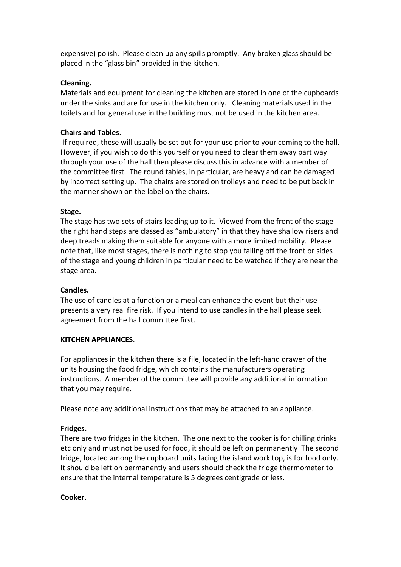expensive) polish. Please clean up any spills promptly. Any broken glass should be placed in the "glass bin" provided in the kitchen.

# **Cleaning.**

Materials and equipment for cleaning the kitchen are stored in one of the cupboards under the sinks and are for use in the kitchen only. Cleaning materials used in the toilets and for general use in the building must not be used in the kitchen area.

# **Chairs and Tables**.

If required, these will usually be set out for your use prior to your coming to the hall. However, if you wish to do this yourself or you need to clear them away part way through your use of the hall then please discuss this in advance with a member of the committee first. The round tables, in particular, are heavy and can be damaged by incorrect setting up. The chairs are stored on trolleys and need to be put back in the manner shown on the label on the chairs.

# **Stage.**

The stage has two sets of stairs leading up to it. Viewed from the front of the stage the right hand steps are classed as "ambulatory" in that they have shallow risers and deep treads making them suitable for anyone with a more limited mobility. Please note that, like most stages, there is nothing to stop you falling off the front or sides of the stage and young children in particular need to be watched if they are near the stage area.

# **Candles.**

The use of candles at a function or a meal can enhance the event but their use presents a very real fire risk. If you intend to use candles in the hall please seek agreement from the hall committee first.

# **KITCHEN APPLIANCES**.

For appliances in the kitchen there is a file, located in the left-hand drawer of the units housing the food fridge, which contains the manufacturers operating instructions. A member of the committee will provide any additional information that you may require.

Please note any additional instructions that may be attached to an appliance.

# **Fridges.**

There are two fridges in the kitchen. The one next to the cooker is for chilling drinks etc only and must not be used for food, it should be left on permanently The second fridge, located among the cupboard units facing the island work top, is for food only. It should be left on permanently and users should check the fridge thermometer to ensure that the internal temperature is 5 degrees centigrade or less.

# **Cooker.**